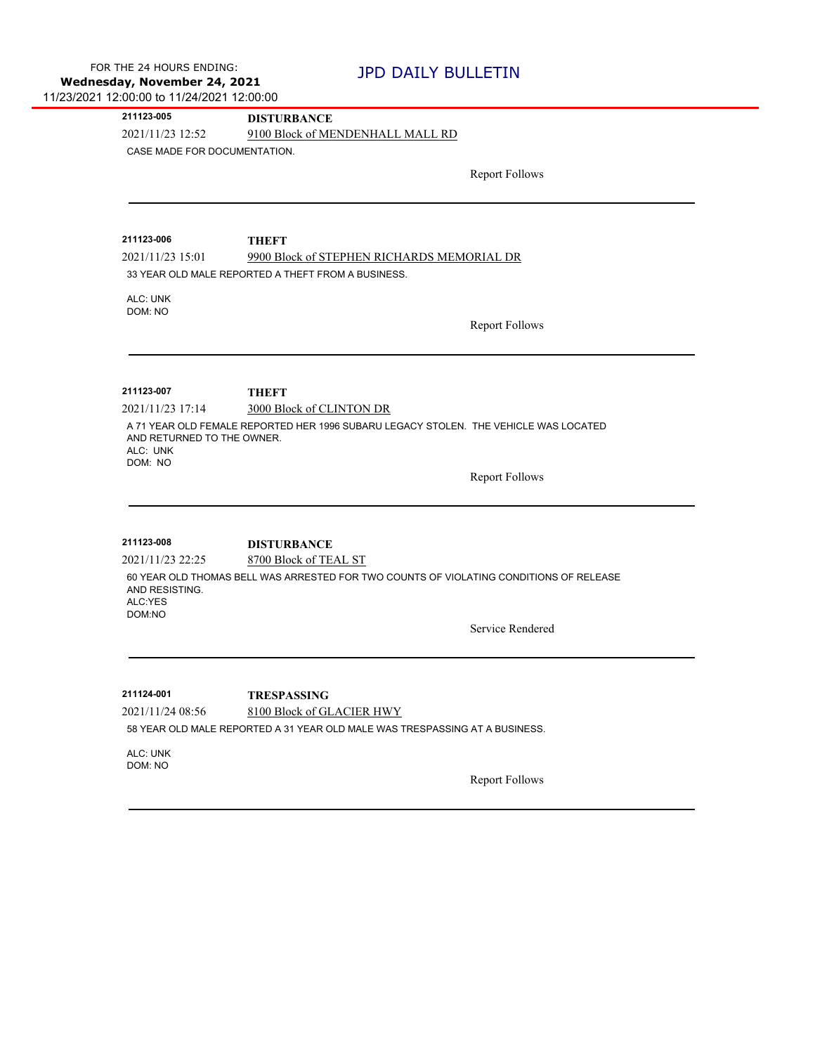**211123-005 DISTURBANCE**

2021/11/23 12:52 9100 Block of MENDENHALL MALL RD

CASE MADE FOR DOCUMENTATION.

Report Follows

**211123-006 THEFT**

2021/11/23 15:01 9900 Block of STEPHEN RICHARDS MEMORIAL DR

33 YEAR OLD MALE REPORTED A THEFT FROM A BUSINESS.

ALC: UNK DOM: NO

Report Follows

**211123-007 THEFT**

2021/11/23 17:14 3000 Block of CLINTON DR

A 71 YEAR OLD FEMALE REPORTED HER 1996 SUBARU LEGACY STOLEN. THE VEHICLE WAS LOCATED AND RETURNED TO THE OWNER. ALC: UNK DOM: NO

Report Follows

**211123-008 DISTURBANCE**

2021/11/23 22:25 8700 Block of TEAL ST 60 YEAR OLD THOMAS BELL WAS ARRESTED FOR TWO COUNTS OF VIOLATING CONDITIONS OF RELEASE AND RESISTING. ALC:YES DOM:NO

Service Rendered

2021/11/24 08:56 8100 Block of GLACIER HWY **211124-001 TRESPASSING** 58 YEAR OLD MALE REPORTED A 31 YEAR OLD MALE WAS TRESPASSING AT A BUSINESS.

ALC: UNK DOM: NO

Report Follows